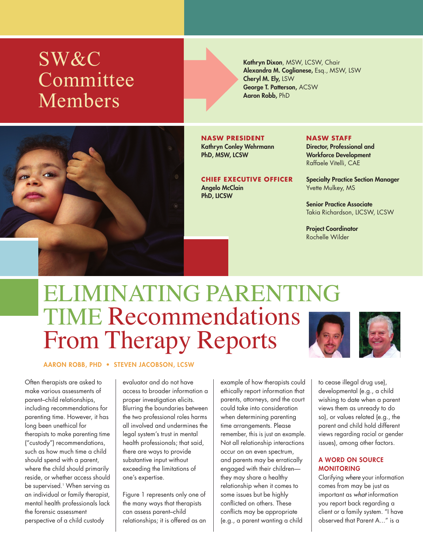## SW&C Committee Members

**Kathryn Dixon**, MSW, LCSW, Chair **Alexandra M. Coglianese,** Esq., MSW, LSW **Cheryl M. Ely,** LSW **George T. Patterson,** ACSW **Aaron Robb,** PhD



**NASW PRESIDENT Kathryn Conley Wehrmann PhD, MSW, LCSW**

**CHIEF EXECUTIVE OFFICER Angelo McClain PhD, LICSW**

### **NASW STAFF**

**Director, Professional and Workforce Development** Raffaele Vitelli, CAE

**Specialty Practice Section Manager** Yvette Mulkey, MS

**Senior Practice Associate** Takia Richardson, LICSW, LCSW

**Project Coordinator** Rochelle Wilder

# ELIMINATING PARENTING TIME Recommendations From Therapy Reports



Often therapists are asked to make various assessments of parent–child relationships, including recommendations for parenting time. However, it has long been unethical for therapists to make parenting time ("custody") recommendations, such as how much time a child should spend with a parent, where the child should primarily reside, or whether access should be supervised.<sup>1</sup> When serving as an individual or family therapist, mental health professionals lack the forensic assessment perspective of a child custody

evaluator and do not have access to broader information a proper investigation elicits. Blurring the boundaries between the two professional roles harms all involved and undermines the legal system's trust in mental health professionals; that said, there are ways to provide substantive input without exceeding the limitations of one's expertise.

Figure 1 represents only one of the many ways that therapists can assess parent–child relationships; it is offered as an

example of how therapists could ethically report information that parents, attorneys, and the court could take into consideration when determining parenting time arrangements. Please remember, this is just an example. Not all relationship interactions occur on an even spectrum, and parents may be erratically engaged with their children they may share a healthy relationship when it comes to some issues but be highly conflicted on others. These conflicts may be appropriate (e.g., a parent wanting a child



to cease illegal drug use), developmental (e.g., a child wishing to date when a parent views them as unready to do so), or values related (e.g., the parent and child hold different views regarding racial or gender issues), among other factors.

### **A WORD ON SOURCE MONITORING**

Clarifying *where* your information comes from may be just as important as *what* information you report back regarding a client or a family system. "I have observed that Parent A..." is a